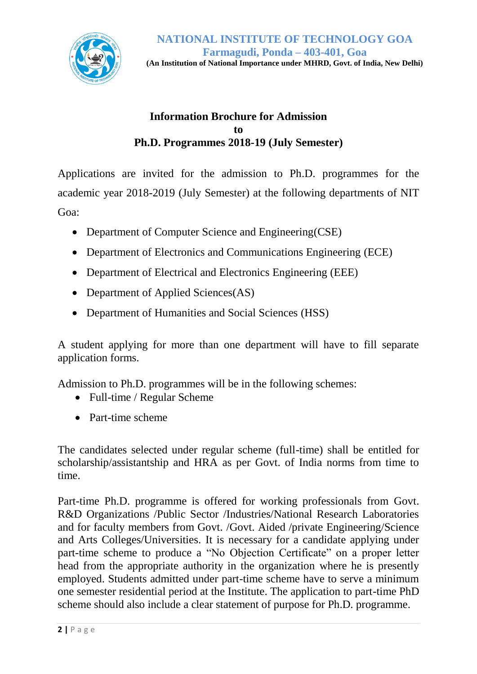

#### **Information Brochure for Admission to Ph.D. Programmes 2018-19 (July Semester)**

Applications are invited for the admission to Ph.D. programmes for the academic year 2018-2019 (July Semester) at the following departments of NIT Goa:

- Department of Computer Science and Engineering(CSE)
- Department of Electronics and Communications Engineering (ECE)
- Department of Electrical and Electronics Engineering (EEE)
- Department of Applied Sciences(AS)
- Department of Humanities and Social Sciences (HSS)

A student applying for more than one department will have to fill separate application forms.

Admission to Ph.D. programmes will be in the following schemes:

- Full-time / Regular Scheme
- Part-time scheme

The candidates selected under regular scheme (full-time) shall be entitled for scholarship/assistantship and HRA as per Govt. of India norms from time to time.

Part-time Ph.D. programme is offered for working professionals from Govt. R&D Organizations /Public Sector /Industries/National Research Laboratories and for faculty members from Govt. /Govt. Aided /private Engineering/Science and Arts Colleges/Universities. It is necessary for a candidate applying under part-time scheme to produce a "No Objection Certificate" on a proper letter head from the appropriate authority in the organization where he is presently employed. Students admitted under part-time scheme have to serve a minimum one semester residential period at the Institute. The application to part-time PhD scheme should also include a clear statement of purpose for Ph.D. programme.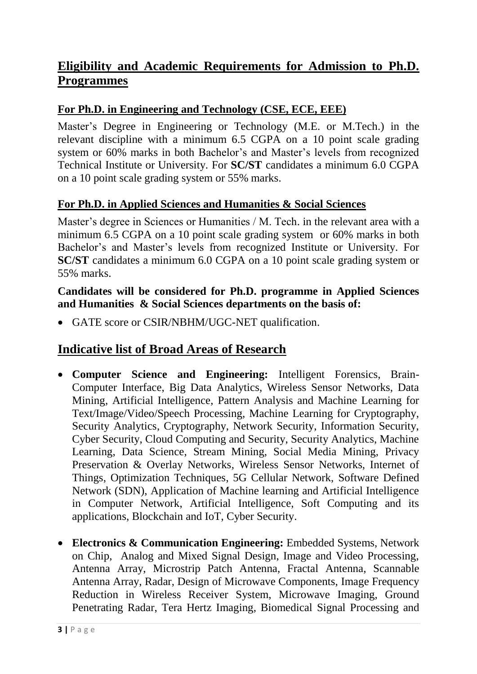# **Eligibility and Academic Requirements for Admission to Ph.D. Programmes**

### **For Ph.D. in Engineering and Technology (CSE, ECE, EEE)**

Master's Degree in Engineering or Technology (M.E. or M.Tech.) in the relevant discipline with a minimum 6.5 CGPA on a 10 point scale grading system or 60% marks in both Bachelor's and Master's levels from recognized Technical Institute or University. For **SC/ST** candidates a minimum 6.0 CGPA on a 10 point scale grading system or 55% marks.

#### **For Ph.D. in Applied Sciences and Humanities & Social Sciences**

Master's degree in Sciences or Humanities / M. Tech. in the relevant area with a minimum 6.5 CGPA on a 10 point scale grading system or 60% marks in both Bachelor's and Master's levels from recognized Institute or University. For **SC/ST** candidates a minimum 6.0 CGPA on a 10 point scale grading system or 55% marks.

#### **Candidates will be considered for Ph.D. programme in Applied Sciences and Humanities & Social Sciences departments on the basis of:**

GATE score or CSIR/NBHM/UGC-NET qualification.

# **Indicative list of Broad Areas of Research**

- **Computer Science and Engineering:** Intelligent Forensics, Brain-Computer Interface, Big Data Analytics, Wireless Sensor Networks, Data Mining, Artificial Intelligence, Pattern Analysis and Machine Learning for Text/Image/Video/Speech Processing, Machine Learning for Cryptography, Security Analytics, Cryptography, Network Security, Information Security, Cyber Security, Cloud Computing and Security, Security Analytics, Machine Learning, Data Science, Stream Mining, Social Media Mining, Privacy Preservation & Overlay Networks, Wireless Sensor Networks, Internet of Things, Optimization Techniques, 5G Cellular Network, Software Defined Network (SDN), Application of Machine learning and Artificial Intelligence in Computer Network, Artificial Intelligence, Soft Computing and its applications, Blockchain and IoT, Cyber Security.
- **Electronics & Communication Engineering:** Embedded Systems, Network on Chip, Analog and Mixed Signal Design, Image and Video Processing, Antenna Array, Microstrip Patch Antenna, Fractal Antenna, Scannable Antenna Array, Radar, Design of Microwave Components, Image Frequency Reduction in Wireless Receiver System, Microwave Imaging, Ground Penetrating Radar, Tera Hertz Imaging, Biomedical Signal Processing and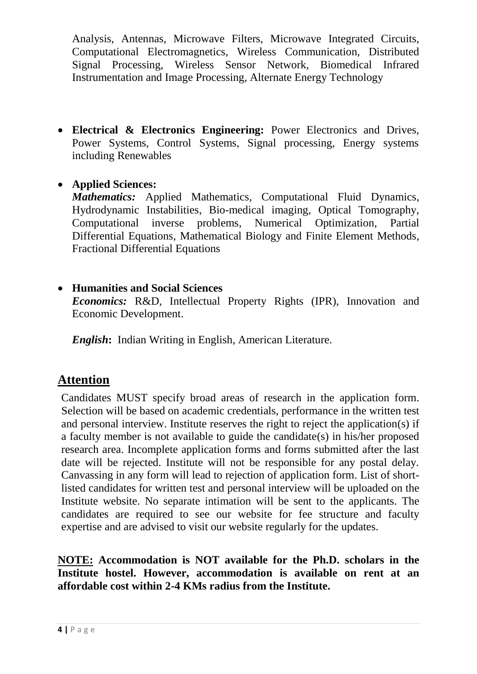Analysis, Antennas, Microwave Filters, Microwave Integrated Circuits, Computational Electromagnetics, Wireless Communication, Distributed Signal Processing, Wireless Sensor Network, Biomedical Infrared Instrumentation and Image Processing, Alternate Energy Technology

 **Electrical & Electronics Engineering:** Power Electronics and Drives, Power Systems, Control Systems, Signal processing, Energy systems including Renewables

#### **Applied Sciences:**

*Mathematics:* Applied Mathematics, Computational Fluid Dynamics, Hydrodynamic Instabilities, Bio-medical imaging, Optical Tomography, Computational inverse problems, Numerical Optimization, Partial Differential Equations, Mathematical Biology and Finite Element Methods, Fractional Differential Equations

#### **Humanities and Social Sciences**

*Economics:* R&D, Intellectual Property Rights (IPR), Innovation and Economic Development.

*English***:** Indian Writing in English, American Literature.

# **Attention**

Candidates MUST specify broad areas of research in the application form. Selection will be based on academic credentials, performance in the written test and personal interview. Institute reserves the right to reject the application(s) if a faculty member is not available to guide the candidate(s) in his/her proposed research area. Incomplete application forms and forms submitted after the last date will be rejected. Institute will not be responsible for any postal delay. Canvassing in any form will lead to rejection of application form. List of shortlisted candidates for written test and personal interview will be uploaded on the Institute website. No separate intimation will be sent to the applicants. The candidates are required to see our website for fee structure and faculty expertise and are advised to visit our website regularly for the updates.

#### **NOTE: Accommodation is NOT available for the Ph.D. scholars in the Institute hostel. However, accommodation is available on rent at an affordable cost within 2-4 KMs radius from the Institute.**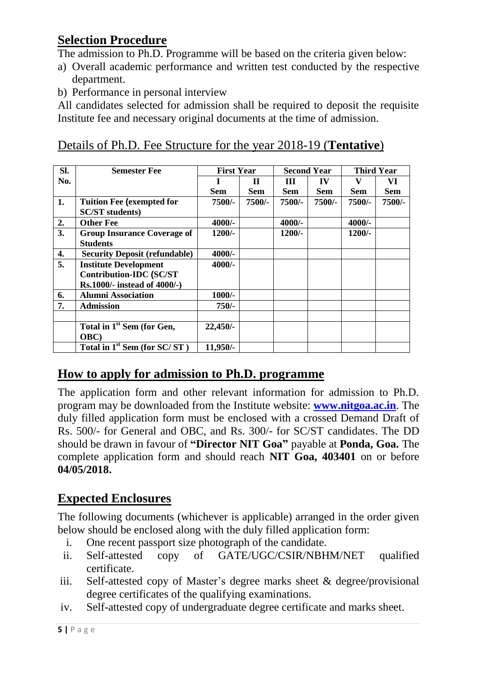# **Selection Procedure**

The admission to Ph.D. Programme will be based on the criteria given below:

- a) Overall academic performance and written test conducted by the respective department.
- b) Performance in personal interview

All candidates selected for admission shall be required to deposit the requisite Institute fee and necessary original documents at the time of admission.

### Details of Ph.D. Fee Structure for the year 2018-19 (**Tentative**)

| SI. | <b>Semester Fee</b>                      | <b>First Year</b> |              | <b>Second Year</b> |            | <b>Third Year</b> |            |
|-----|------------------------------------------|-------------------|--------------|--------------------|------------|-------------------|------------|
| No. |                                          | $\mathbf I$       | $\mathbf{H}$ | Ш                  | IV         | V                 | VI         |
|     |                                          | <b>Sem</b>        | Sem          | <b>Sem</b>         | <b>Sem</b> | <b>Sem</b>        | <b>Sem</b> |
| 1.  | <b>Tuition Fee (exempted for</b>         | 7500/-            | 7500/-       | 7500/-             | 7500/-     | 7500/-            | 7500/-     |
|     | <b>SC/ST</b> students)                   |                   |              |                    |            |                   |            |
| 2.  | <b>Other Fee</b>                         | $4000/-$          |              | $4000/-$           |            | $4000/-$          |            |
| 3.  | <b>Group Insurance Coverage of</b>       | $1200/-$          |              | $1200/-$           |            | $1200/-$          |            |
|     | <b>Students</b>                          |                   |              |                    |            |                   |            |
| 4.  | <b>Security Deposit (refundable)</b>     | $4000/-$          |              |                    |            |                   |            |
| 5.  | <b>Institute Development</b>             | $4000/-$          |              |                    |            |                   |            |
|     | <b>Contribution-IDC (SC/ST</b>           |                   |              |                    |            |                   |            |
|     | Rs.1000/- instead of 4000/-)             |                   |              |                    |            |                   |            |
| 6.  | <b>Alumni Association</b>                | $1000/-$          |              |                    |            |                   |            |
| 7.  | <b>Admission</b>                         | $750/-$           |              |                    |            |                   |            |
|     |                                          |                   |              |                    |            |                   |            |
|     | Total in 1 <sup>st</sup> Sem (for Gen,   | $22,450/-$        |              |                    |            |                   |            |
|     | <b>OBC</b> )                             |                   |              |                    |            |                   |            |
|     | Total in 1 <sup>st</sup> Sem (for SC/ST) | $11,950/-$        |              |                    |            |                   |            |

# **How to apply for admission to Ph.D. programme**

The application form and other relevant information for admission to Ph.D. program may be downloaded from the Institute website: **[www.nitgoa.ac.in](http://www.nitgoa.ac.in/)**. The duly filled application form must be enclosed with a crossed Demand Draft of Rs. 500/- for General and OBC, and Rs. 300/- for SC/ST candidates. The DD should be drawn in favour of **"Director NIT Goa"** payable at **Ponda, Goa.** The complete application form and should reach **NIT Goa, 403401** on or before **04/05/2018.** 

# **Expected Enclosures**

The following documents (whichever is applicable) arranged in the order given below should be enclosed along with the duly filled application form:

- i. One recent passport size photograph of the candidate.
- ii. Self-attested copy of GATE/UGC/CSIR/NBHM/NET qualified certificate.
- iii. Self-attested copy of Master's degree marks sheet & degree/provisional degree certificates of the qualifying examinations.
- iv. Self-attested copy of undergraduate degree certificate and marks sheet.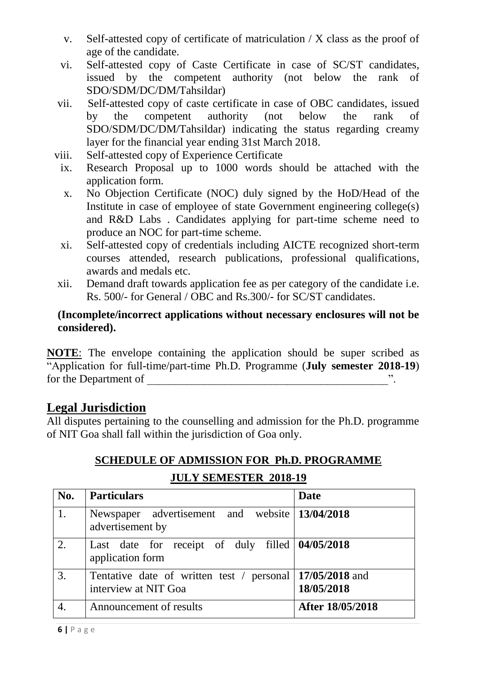- v. Self-attested copy of certificate of matriculation / X class as the proof of age of the candidate.
- vi. Self-attested copy of Caste Certificate in case of SC/ST candidates, issued by the competent authority (not below the rank of SDO/SDM/DC/DM/Tahsildar)
- vii. Self-attested copy of caste certificate in case of OBC candidates, issued by the competent authority (not below the rank of SDO/SDM/DC/DM/Tahsildar) indicating the status regarding creamy layer for the financial year ending 31st March 2018.
- viii. Self-attested copy of Experience Certificate
	- ix. Research Proposal up to 1000 words should be attached with the application form.
	- x. No Objection Certificate (NOC) duly signed by the HoD/Head of the Institute in case of employee of state Government engineering college(s) and R&D Labs . Candidates applying for part-time scheme need to produce an NOC for part-time scheme.
	- xi. Self-attested copy of credentials including AICTE recognized short-term courses attended, research publications, professional qualifications, awards and medals etc.
- xii. Demand draft towards application fee as per category of the candidate i.e. Rs. 500/- for General / OBC and Rs.300/- for SC/ST candidates.

#### **(Incomplete/incorrect applications without necessary enclosures will not be considered).**

**NOTE**: The envelope containing the application should be super scribed as "Application for full-time/part-time Ph.D. Programme (**July semester 2018-19**) for the Department of

### **Legal Jurisdiction**

All disputes pertaining to the counselling and admission for the Ph.D. programme of NIT Goa shall fall within the jurisdiction of Goa only.

# **SCHEDULE OF ADMISSION FOR Ph.D. PROGRAMME JULY SEMESTER 2018-19**

| No. | <b>Particulars</b>                                                  | Date                         |  |  |
|-----|---------------------------------------------------------------------|------------------------------|--|--|
| 1.  | Newspaper advertisement and website 13/04/2018<br>advertisement by  |                              |  |  |
| 2.  | Last date for receipt of duly filled 04/05/2018<br>application form |                              |  |  |
| 3.  | Tentative date of written test / personal<br>interview at NIT Goa   | 17/05/2018 and<br>18/05/2018 |  |  |
|     | Announcement of results                                             | After 18/05/2018             |  |  |